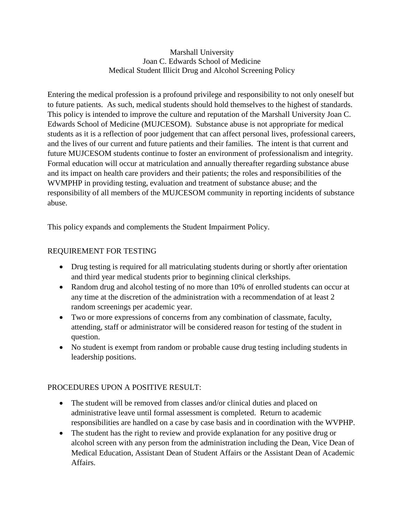### Marshall University Joan C. Edwards School of Medicine Medical Student Illicit Drug and Alcohol Screening Policy

Entering the medical profession is a profound privilege and responsibility to not only oneself but to future patients. As such, medical students should hold themselves to the highest of standards. This policy is intended to improve the culture and reputation of the Marshall University Joan C. Edwards School of Medicine (MUJCESOM). Substance abuse is not appropriate for medical students as it is a reflection of poor judgement that can affect personal lives, professional careers, and the lives of our current and future patients and their families. The intent is that current and future MUJCESOM students continue to foster an environment of professionalism and integrity. Formal education will occur at matriculation and annually thereafter regarding substance abuse and its impact on health care providers and their patients; the roles and responsibilities of the WVMPHP in providing testing, evaluation and treatment of substance abuse; and the responsibility of all members of the MUJCESOM community in reporting incidents of substance abuse.

This policy expands and complements the Student Impairment Policy.

# REQUIREMENT FOR TESTING

- Drug testing is required for all matriculating students during or shortly after orientation and third year medical students prior to beginning clinical clerkships.
- Random drug and alcohol testing of no more than 10% of enrolled students can occur at any time at the discretion of the administration with a recommendation of at least 2 random screenings per academic year.
- Two or more expressions of concerns from any combination of classmate, faculty, attending, staff or administrator will be considered reason for testing of the student in question.
- No student is exempt from random or probable cause drug testing including students in leadership positions.

## PROCEDURES UPON A POSITIVE RESULT:

- The student will be removed from classes and/or clinical duties and placed on administrative leave until formal assessment is completed. Return to academic responsibilities are handled on a case by case basis and in coordination with the WVPHP.
- The student has the right to review and provide explanation for any positive drug or alcohol screen with any person from the administration including the Dean, Vice Dean of Medical Education, Assistant Dean of Student Affairs or the Assistant Dean of Academic Affairs.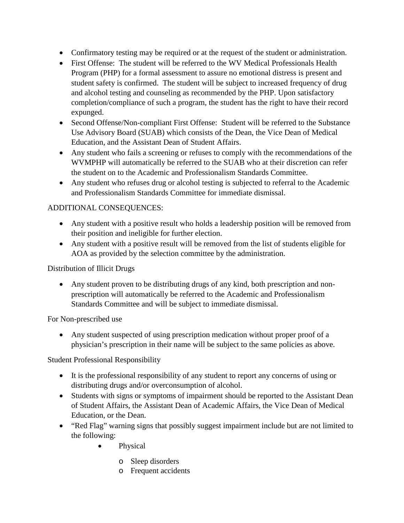- Confirmatory testing may be required or at the request of the student or administration.
- First Offense: The student will be referred to the WV Medical Professionals Health Program (PHP) for a formal assessment to assure no emotional distress is present and student safety is confirmed. The student will be subject to increased frequency of drug and alcohol testing and counseling as recommended by the PHP. Upon satisfactory completion/compliance of such a program, the student has the right to have their record expunged.
- Second Offense/Non-compliant First Offense: Student will be referred to the Substance Use Advisory Board (SUAB) which consists of the Dean, the Vice Dean of Medical Education, and the Assistant Dean of Student Affairs.
- Any student who fails a screening or refuses to comply with the recommendations of the WVMPHP will automatically be referred to the SUAB who at their discretion can refer the student on to the Academic and Professionalism Standards Committee.
- Any student who refuses drug or alcohol testing is subjected to referral to the Academic and Professionalism Standards Committee for immediate dismissal.

# ADDITIONAL CONSEQUENCES:

- Any student with a positive result who holds a leadership position will be removed from their position and ineligible for further election.
- Any student with a positive result will be removed from the list of students eligible for AOA as provided by the selection committee by the administration.

# Distribution of Illicit Drugs

• Any student proven to be distributing drugs of any kind, both prescription and nonprescription will automatically be referred to the Academic and Professionalism Standards Committee and will be subject to immediate dismissal.

For Non-prescribed use

• Any student suspected of using prescription medication without proper proof of a physician's prescription in their name will be subject to the same policies as above.

Student Professional Responsibility

- It is the professional responsibility of any student to report any concerns of using or distributing drugs and/or overconsumption of alcohol.
- Students with signs or symptoms of impairment should be reported to the Assistant Dean of Student Affairs, the Assistant Dean of Academic Affairs, the Vice Dean of Medical Education, or the Dean.
- "Red Flag" warning signs that possibly suggest impairment include but are not limited to the following:
	- Physical
		- o Sleep disorders
		- o Frequent accidents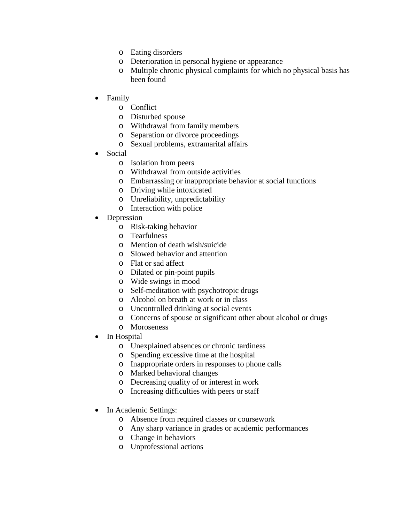- o Eating disorders
- o Deterioration in personal hygiene or appearance
- o Multiple chronic physical complaints for which no physical basis has been found
- Family
	- o Conflict
	- o Disturbed spouse
	- o Withdrawal from family members
	- o Separation or divorce proceedings
	- o Sexual problems, extramarital affairs
- Social
	- o Isolation from peers
	- o Withdrawal from outside activities
	- o Embarrassing or inappropriate behavior at social functions
	- o Driving while intoxicated
	- o Unreliability, unpredictability
	- o Interaction with police
- **Depression** 
	- o Risk-taking behavior
	- o Tearfulness
	- o Mention of death wish/suicide
	- o Slowed behavior and attention
	- o Flat or sad affect
	- o Dilated or pin-point pupils
	- o Wide swings in mood
	- o Self-meditation with psychotropic drugs
	- o Alcohol on breath at work or in class
	- o Uncontrolled drinking at social events
	- o Concerns of spouse or significant other about alcohol or drugs
	- o Moroseness
- In Hospital
	- o Unexplained absences or chronic tardiness
	- o Spending excessive time at the hospital
	- o Inappropriate orders in responses to phone calls
	- o Marked behavioral changes
	- o Decreasing quality of or interest in work
	- o Increasing difficulties with peers or staff
- In Academic Settings:
	- o Absence from required classes or coursework
	- o Any sharp variance in grades or academic performances
	- o Change in behaviors
	- o Unprofessional actions